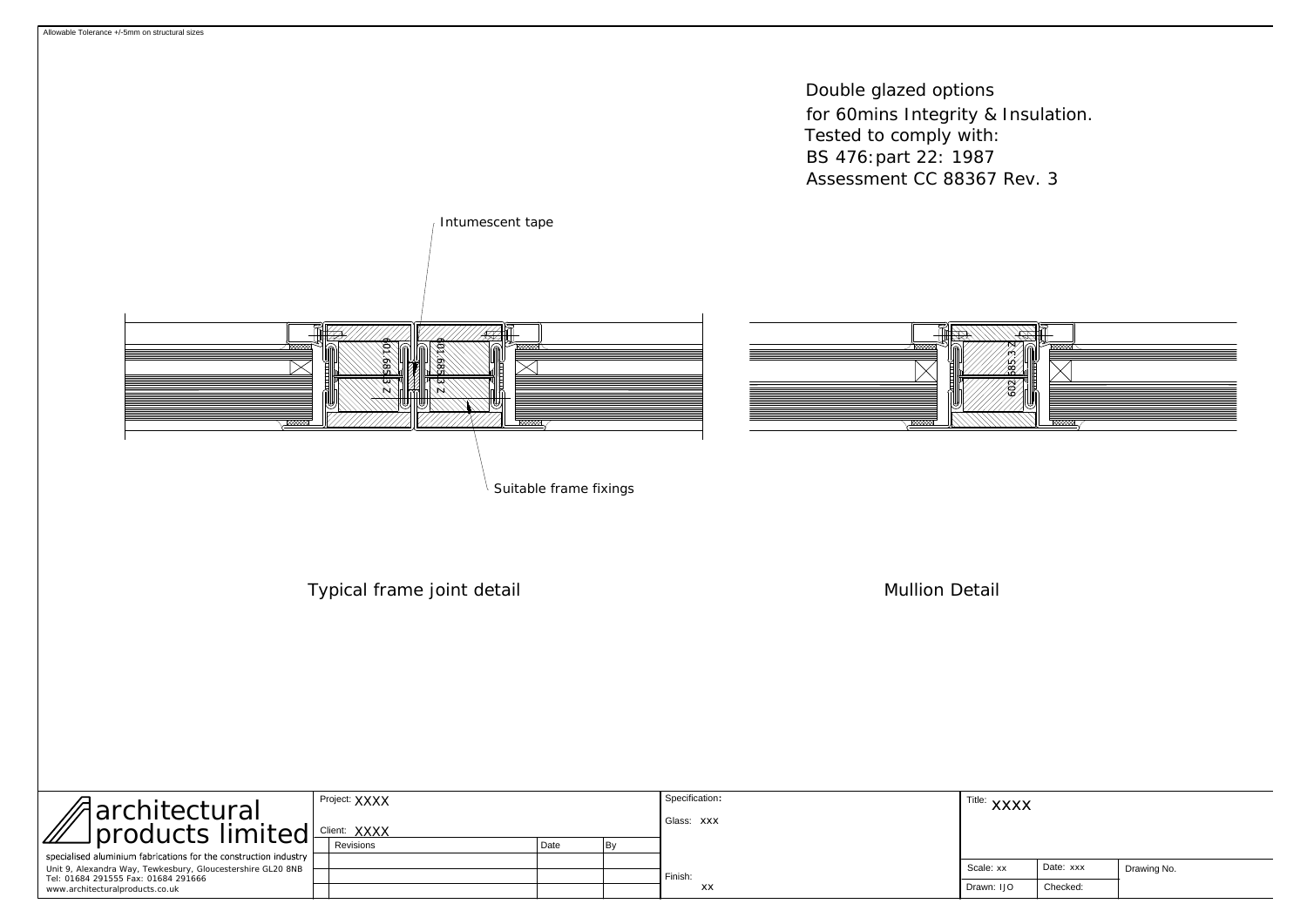

| Aarchitectural Project: XXXX<br>products limited Client: XXXX          | Project: XXXX |  |      |  | Specification: | Title: XXXX |           |             |
|------------------------------------------------------------------------|---------------|--|------|--|----------------|-------------|-----------|-------------|
|                                                                        |               |  |      |  | Glass: XXX     |             |           |             |
| specialised aluminium fabrications for the construction industry       | Revisions     |  | Date |  |                |             |           |             |
| Unit 9, Alexandra Way, Tewkesbury, Gloucestershire GL20 8NB            |               |  |      |  |                | Scale: xx   | Date: xxx | Drawing No. |
| Tel: 01684 291555 Fax: 01684 291666<br>www.architecturalproducts.co.uk |               |  |      |  | Finish:<br>XX  | Drawn: IJO  | Checked:  |             |